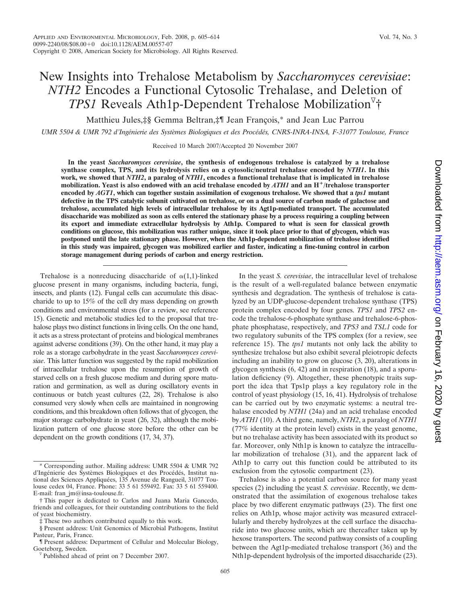# New Insights into Trehalose Metabolism by *Saccharomyces cerevisiae*: *NTH2* Encodes a Functional Cytosolic Trehalase, and Deletion of *TPS1* Reveals Ath1p-Dependent Trehalose Mobilization †

Matthieu Jules,‡§ Gemma Beltran,‡¶ Jean François,\* and Jean Luc Parrou

UMR 5504 & UMR 792 d'Ingénierie des Systèmes Biologiques et des Procédés, CNRS-INRA-INSA, F-31077 Toulouse, France

Received 10 March 2007/Accepted 20 November 2007

**In the yeast** *Saccharomyces cerevisiae***, the synthesis of endogenous trehalose is catalyzed by a trehalose synthase complex, TPS, and its hydrolysis relies on a cytosolic/neutral trehalase encoded by** *NTH1***. In this work, we showed that** *NTH2***, a paralog of** *NTH1***, encodes a functional trehalase that is implicated in trehalose mobilization. Yeast is also endowed with an acid trehalase encoded by** *ATH1* **and an H/trehalose transporter encoded by** *AGT1***, which can together sustain assimilation of exogenous trehalose. We showed that a** *tps1* **mutant defective in the TPS catalytic subunit cultivated on trehalose, or on a dual source of carbon made of galactose and trehalose, accumulated high levels of intracellular trehalose by its Agt1p-mediated transport. The accumulated disaccharide was mobilized as soon as cells entered the stationary phase by a process requiring a coupling between its export and immediate extracellular hydrolysis by Ath1p. Compared to what is seen for classical growth conditions on glucose, this mobilization was rather unique, since it took place prior to that of glycogen, which was postponed until the late stationary phase. However, when the Ath1p-dependent mobilization of trehalose identified in this study was impaired, glycogen was mobilized earlier and faster, indicating a fine-tuning control in carbon storage management during periods of carbon and energy restriction.**

Trehalose is a nonreducing disaccharide of  $\alpha(1,1)$ -linked glucose present in many organisms, including bacteria, fungi, insects, and plants (12). Fungal cells can accumulate this disaccharide to up to 15% of the cell dry mass depending on growth conditions and environmental stress (for a review, see reference 15). Genetic and metabolic studies led to the proposal that trehalose plays two distinct functions in living cells. On the one hand, it acts as a stress protectant of proteins and biological membranes against adverse conditions (39). On the other hand, it may play a role as a storage carbohydrate in the yeast *Saccharomyces cerevisiae*. This latter function was suggested by the rapid mobilization of intracellular trehalose upon the resumption of growth of starved cells on a fresh glucose medium and during spore maturation and germination, as well as during oscillatory events in continuous or batch yeast cultures (22, 28). Trehalose is also consumed very slowly when cells are maintained in nongrowing conditions, and this breakdown often follows that of glycogen, the major storage carbohydrate in yeast (26, 32), although the mobilization pattern of one glucose store before the other can be dependent on the growth conditions (17, 34, 37).

In the yeast *S. cerevisiae*, the intracellular level of trehalose is the result of a well-regulated balance between enzymatic synthesis and degradation. The synthesis of trehalose is catalyzed by an UDP-glucose-dependent trehalose synthase (TPS) protein complex encoded by four genes. *TPS1* and *TPS2* encode the trehalose-6-phosphate synthase and trehalose-6-phosphate phosphatase, respectively, and *TPS3* and *TSL1* code for two regulatory subunits of the TPS complex (for a review, see reference 15). The *tps1* mutants not only lack the ability to synthesize trehalose but also exhibit several pleiotropic defects including an inability to grow on glucose (3, 20), alterations in glycogen synthesis (6, 42) and in respiration (18), and a sporulation deficiency (9). Altogether, these phenotypic traits support the idea that Tps1p plays a key regulatory role in the control of yeast physiology (15, 16, 41). Hydrolysis of trehalose can be carried out by two enzymatic systems: a neutral trehalase encoded by *NTH1* (24a) and an acid trehalase encoded by *ATH1* (10). A third gene, namely, *NTH2*, a paralog of *NTH1* (77% identity at the protein level) exists in the yeast genome, but no trehalase activity has been associated with its product so far. Moreover, only Nth1p is known to catalyze the intracellular mobilization of trehalose (31), and the apparent lack of Ath1p to carry out this function could be attributed to its exclusion from the cytosolic compartment (23).

Trehalose is also a potential carbon source for many yeast species (2) including the yeast *S. cerevisiae*. Recently, we demonstrated that the assimilation of exogenous trehalose takes place by two different enzymatic pathways (23). The first one relies on Ath1p, whose major activity was measured extracellularly and thereby hydrolyzes at the cell surface the disaccharide into two glucose units, which are thereafter taken up by hexose transporters. The second pathway consists of a coupling between the Agt1p-mediated trehalose transport (36) and the Nth1p-dependent hydrolysis of the imported disaccharide (23).

<sup>\*</sup> Corresponding author. Mailing address: UMR 5504 & UMR 792 d'Ingénierie des Systèmes Biologiques et des Procédés, Institut national des Sciences Appliquées, 135 Avenue de Rangueil, 31077 Toulouse cedex 04, France. Phone: 33 5 61 559492. Fax: 33 5 61 559400. E-mail: fran\_jm@insa-toulouse.fr.

<sup>†</sup> This paper is dedicated to Carlos and Juana Maria Gancedo, friends and colleagues, for their outstanding contributions to the field of yeast biochemistry.

<sup>‡</sup> These two authors contributed equally to this work.

<sup>§</sup> Present address: Unit Genomics of Microbial Pathogens, Institut Pasteur, Paris, France.

<sup>¶</sup> Present address: Department of Cellular and Molecular Biology,

Published ahead of print on 7 December 2007.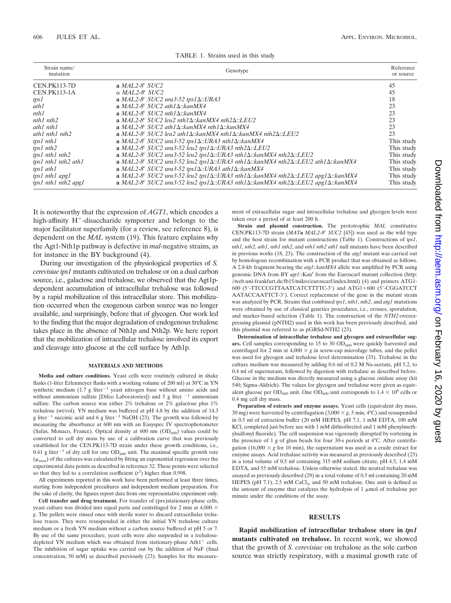| Strain name/<br>mutation | Genotype                                                                                                            | Reference<br>or source |
|--------------------------|---------------------------------------------------------------------------------------------------------------------|------------------------|
| <b>CEN.PK113-7D</b>      | a $MAL2-8^c$ SUC2                                                                                                   | 45                     |
| <b>CEN.PK113-1A</b>      | $\alpha$ MAL2-8 <sup>c</sup> SUC2                                                                                   | 45                     |
| tps1                     | a MAL2-8° SUC2 ura3-52 tps1 $\Delta$ ::URA3                                                                         | 18                     |
| ath1                     | a MAL2-8° SUC2 ath1 $\Delta$ :: $\text{k}$ anMX4                                                                    | 23                     |
| nth1                     | a MAL2-8° SUC2 nth1 $\Delta$ ::kanMX4                                                                               | 23                     |
| nth1 nth2                | a MAL2-8° SUC2 leu2 nth1 $\Delta$ ::kanMX4 nth2 $\Delta$ ::LEU2                                                     | 23                     |
| $ath1$ nth $1$           | a MAL2-8° SUC2 ath1 $\Delta$ ::kanMX4 nth1 $\Delta$ ::kanMX4                                                        | 23                     |
| $ath1$ nth $1$ nth $2$   | a MAL2-8° SUC2 leu2 ath1 $\Delta$ ::kanMX4 nth1 $\Delta$ ::kanMX4 nth2 $\Delta$ ::LEU2                              | 23                     |
| tps1 nth1                | a MAL2-8° SUC2 ura3-52 tps1 $\Delta$ ::URA3 nth1 $\Delta$ ::kanMX4                                                  | This study             |
| tps1 nth2                | a MAL2-8° SUC2 ura3-52 leu2 tps1 $\Delta$ ::URA3 nth2 $\Delta$ ::LEU2                                               | This study             |
| tps1 nth1 nth2           | a MAL2-8° SUC2 ura3-52 leu2 tps1 $\Delta$ ::URA3 nth1 $\Delta$ ::kanMX4 nth2 $\Delta$ ::LEU2                        | This study             |
| tps1 nth1 nth2 ath1      | a MAL2-8° SUC2 ura3-52 leu2 tps1 $\Delta$ ::URA3 nth1 $\Delta$ ::kanMX4 nth2 $\Delta$ ::LEU2 ath1 $\Delta$ ::kanMX4 | This study             |
| tps1 ath1                | a MAL2-8° SUC2 ura3-52 tps1 $\Delta$ ::URA3 ath1 $\Delta$ ::kanMX4                                                  | This study             |
| tps1 nth1 apg1           | a MAL2-8° SUC2 ura3-52 leu2 tps1 $\Delta$ ::URA3 nth1 $\Delta$ ::kanMX4 nth2 $\Delta$ ::LEU2 apg1 $\Delta$ ::kanMX4 | This study             |
| tps1 nth1 nth2 apg1      | a MAL2-8° SUC2 ura3-52 leu2 tps1 $\Delta$ ::URA3 nth1 $\Delta$ ::kanMX4 nth2 $\Delta$ ::LEU2 apg1 $\Delta$ ::kanMX4 | This study             |

| TABLE 1. Strains used in this study |  |  |  |  |  |  |
|-------------------------------------|--|--|--|--|--|--|
|-------------------------------------|--|--|--|--|--|--|

It is noteworthy that the expression of *AGT1*, which encodes a high-affinity  $H^+$ -disaccharide symporter and belongs to the major facilitator superfamily (for a review, see reference 8), is dependent on the *MAL* system (19). This feature explains why the Agt1-Nth1p pathway is defective in *mal*-negative strains, as for instance in the BY background (4).

During our investigation of the physiological properties of *S. cerevisiae tps1* mutants cultivated on trehalose or on a dual carbon source, i.e., galactose and trehalose, we observed that the Agt1pdependent accumulation of intracellular trehalose was followed by a rapid mobilization of this intracellular store. This mobilization occurred when the exogenous carbon source was no longer available, and surprisingly, before that of glycogen. Our work led to the finding that the major degradation of endogenous trehalose takes place in the absence of Nth1p and Nth2p. We here report that the mobilization of intracellular trehalose involved its export and cleavage into glucose at the cell surface by Ath1p.

#### **MATERIALS AND METHODS**

**Media and culture conditions.** Yeast cells were routinely cultured in shake flasks (1-liter Erlenmeyer flasks with a working volume of 200 ml) at 30°C in YN synthetic medium  $(1.7 \text{ g liter}^{-1} \text{ yeast nitrogen base without amino acids and})$ without ammonium sulfate [Difco Laboratories]) and 5 g liter  $^{-1}$  ammonium sulfate. The carbon source was either 2% trehalose or 2% galactose plus 1% trehalose (wt/vol). YN medium was buffered at pH 4.8 by the addition of 14.3 g liter<sup>-1</sup> succinic acid and 6 g liter<sup>-1</sup> NaOH (23). The growth was followed by measuring the absorbance at 600 nm with an Easyspec IV spectrophotometer (Safas, Monaco, France). Optical density at  $600 \text{ nm}$  (OD<sub>600</sub>) values could be converted to cell dry mass by use of a calibration curve that was previously established for the CEN.PK113-7D strain under these growth conditions, i.e., 0.41 g liter<sup>-1</sup> of dry cell for one  $OD_{600}$  unit. The maximal specific growth rate  $(\mu_{\text{max}})$  of the cultures was calculated by fitting an exponential regression over the experimental data points as described in reference 32. These points were selected so that they led to a correlation coefficient  $(r^2)$  higher than 0.998.

All experiments reported in this work have been performed at least three times, starting from independent precultures and independent medium preparation. For the sake of clarity, the figures report data from one representative experiment only.

**Cell transfer and drug treatment.** For transfer of (pre)stationary-phase cells, yeast culture was divided into equal parts and centrifuged for 2 min at 4,000  $\times$ *g*. The pellets were rinsed once with sterile water to discard extracellular trehalose traces. They were resuspended in either the initial YN trehalose culture medium or a fresh YN medium without a carbon source buffered at pH 5 or 7. By use of the same procedure, yeast cells were also suspended in a trehalosedepleted YN medium which was obtained from stationary-phase  $Ath1<sup>+</sup>$  cells. The inhibition of sugar uptake was carried out by the addition of NaF (final concentration, 50 mM) as described previously (23). Samples for the measurement of extracellular sugar and intracellular trehalose and glycogen levels were taken over a period of at least 200 h.

**Strain and plasmid construction.** The prototrophic *MAL* constitutive CEN.PK113-7D strain (*MAT***a** *MAL2-8<sup>c</sup> SUC2* [45]) was used as the wild type and the host strain for mutant constructions (Table 1). Constructions of *tps1*, *nth1*, *nth2*, *ath1*, *nth1 nth2*, and *nth1 nth2 ath1* null mutants have been described in previous works (18, 23). The construction of the *atg1* mutant was carried out by homologous recombination with a PCR product that was obtained as follows. A 2.8-kb fragment bearing the *atg1*::*kanMX4* allele was amplified by PCR using genomic DNA from BY *agt1*::Kan<sup>r</sup> from the Euroscarf mutant collection (http: //web.uni-frankfurt.de/fb15/mikro/euroscarf/index.html) (4) and primers ATG1- 600 (5'-TTCCCGTTAATCATCTTTTC-3') and ATG1+600 (5'-CGGATCCT AATACCAATTCT-3). Correct replacement of the gene in the mutant strain was analyzed by PCR. Strains that combined *tps1*, *nth1*, *nth2*, and *atg1* mutations were obtained by use of classical genetics procedures, i.e., crosses, sporulation, and marker-based selection (Table 1). The construction of the *NTH2*-overexpressing plasmid (pNTH2) used in this work has been previously described, and this plasmid was referred to as pGRSd-NTH2 (23).

**Determination of intracellular trehalose and glycogen and extracellular sug**ars. Cell samples corresponding to  $15$  to  $30$  OD<sub>600</sub> were quickly harvested and centrifuged for 2 min at  $4,000 \times g$  in screw-cap microfuge tubes, and the pellet was used for glycogen and trehalose level determination (33). Trehalose in the culture medium was measured by adding 0.6 ml of 0.2 M Na-acetate, pH 5.2, to 0.4 ml of supernatant, followed by digestion with trehalase as described before. Glucose in the medium was directly measured using a glucose oxidase assay (kit 540; Sigma-Aldrich). The values for glycogen and trehalose were given as equivalent glucose per  $OD_{600}$  unit. One  $OD_{600}$  unit corresponds to  $1.4 \times 10^6$  cells or 0.4 mg cell dry mass.

**Preparation of extracts and enzyme assays.** Yeast cells (equivalent dry mass, 30 mg) were harvested by centrifugation  $(3,000 \times g, 5 \text{ min}, 4^{\circ}\text{C})$  and resuspended in 0.5 ml of extraction buffer (20 mM HEPES, pH 7.1, 1 mM EDTA, 100 mM KCl, completed just before use with 1 mM dithiothreitol and 1 mM phenylmethylsulfonyl fluoride). The cell suspension was vigorously disrupted by vortexing in the presence of 1 g of glass beads for four 30-s periods at 4°C. After centrifugation (16,000  $\times$  *g* for 10 min), the supernatant was used as a crude extract for enzyme assays. Acid trehalase activity was measured as previously described (23) in a total volume of 0.5 ml containing 315 mM sodium citrate, pH 4.5, 1.4 mM EDTA, and 55 mM trehalose. Unless otherwise stated, the neutral trehalase was assayed as previously described (29) in a total volume of 0.5 ml containing 20 mM HEPES (pH 7.1), 2.5 mM CaCl<sub>2</sub>, and 50 mM trehalose. One unit is defined as the amount of enzyme that catalyzes the hydrolysis of  $1 \mu$ mol of trehalose per minute under the conditions of the assay.

### **RESULTS**

**Rapid mobilization of intracellular trehalose store in** *tps1* **mutants cultivated on trehalose.** In recent work, we showed that the growth of *S. cerevisiae* on trehalose as the sole carbon source was strictly respiratory, with a maximal growth rate of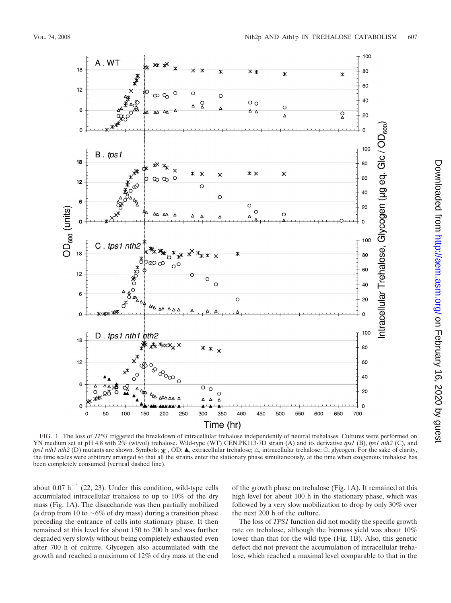

FIG. 1. The loss of *TPS1* triggered the breakdown of intracellular trehalose independently of neutral trehalases. Cultures were performed on YN medium set at pH 4.8 with 2% (wt/vol) trehalose. Wild-type (WT) CEN.PK113-7D strain (A) and its derivative *tps1* (B), *tps1 nth2* (C), and *tps1 nth1 nth2* (D) mutants are shown. Symbols:  $\mathbf{\times}$ , OD;  $\blacktriangle$ , extracellular trehalose;  $\triangle$ , intracellular trehalose;  $\heartsuit$ , glycogen. For the sake of clarity, the time scales were arbitrary arranged so that all the strains enter the stationary phase simultaneously, at the time when exogenous trehalose has been completely consumed (vertical dashed line).

about 0.07 h<sup>-1</sup> (22, 23). Under this condition, wild-type cells accumulated intracellular trehalose to up to 10% of the dry mass (Fig. 1A). The disaccharide was then partially mobilized (a drop from 10 to  $\sim 6\%$  of dry mass) during a transition phase preceding the entrance of cells into stationary phase. It then remained at this level for about 150 to 200 h and was further degraded very slowly without being completely exhausted even after 700 h of culture. Glycogen also accumulated with the growth and reached a maximum of 12% of dry mass at the end

of the growth phase on trehalose (Fig. 1A). It remained at this high level for about 100 h in the stationary phase, which was followed by a very slow mobilization to drop by only 30% over the next 200 h of the culture.

The loss of *TPS1* function did not modify the specific growth rate on trehalose, although the biomass yield was about 10% lower than that for the wild type (Fig. 1B). Also, this genetic defect did not prevent the accumulation of intracellular trehalose, which reached a maximal level comparable to that in the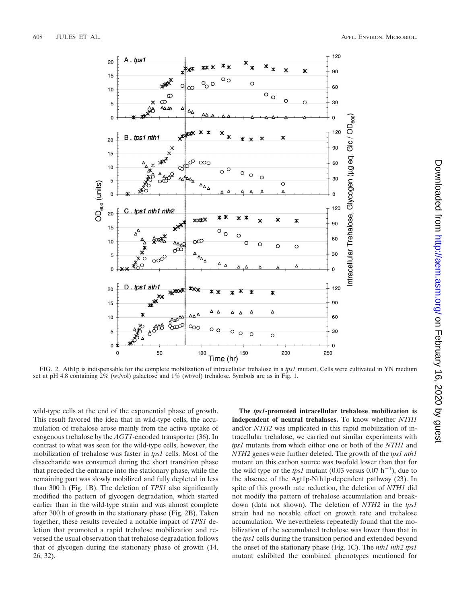

FIG. 2. Ath1p is indispensable for the complete mobilization of intracellular trehalose in a *tps1* mutant. Cells were cultivated in YN medium set at pH 4.8 containing  $2\%$  (wt/vol) galactose and  $1\%$  (wt/vol) trehalose. Symbols are as in Fig. 1.

wild-type cells at the end of the exponential phase of growth. This result favored the idea that in wild-type cells, the accumulation of trehalose arose mainly from the active uptake of exogenous trehalose by the *AGT1*-encoded transporter (36). In contrast to what was seen for the wild-type cells, however, the mobilization of trehalose was faster in *tps1* cells. Most of the disaccharide was consumed during the short transition phase that preceded the entrance into the stationary phase, while the remaining part was slowly mobilized and fully depleted in less than 300 h (Fig. 1B). The deletion of *TPS1* also significantly modified the pattern of glycogen degradation, which started earlier than in the wild-type strain and was almost complete after 300 h of growth in the stationary phase (Fig. 2B). Taken together, these results revealed a notable impact of *TPS1* deletion that promoted a rapid trehalose mobilization and reversed the usual observation that trehalose degradation follows that of glycogen during the stationary phase of growth (14, 26, 32).

**The** *tps1***-promoted intracellular trehalose mobilization is independent of neutral trehalases.** To know whether *NTH1* and/or *NTH2* was implicated in this rapid mobilization of intracellular trehalose, we carried out similar experiments with *tps1* mutants from which either one or both of the *NTH1* and *NTH2* genes were further deleted. The growth of the *tps1 nth1* mutant on this carbon source was twofold lower than that for the wild type or the *tps1* mutant  $(0.03 \text{ versus } 0.07 \text{ h}^{-1})$ , due to the absence of the Agt1p-Nth1p-dependent pathway (23). In spite of this growth rate reduction, the deletion of *NTH1* did not modify the pattern of trehalose accumulation and breakdown (data not shown). The deletion of *NTH2* in the *tps1* strain had no notable effect on growth rate and trehalose accumulation. We nevertheless repeatedly found that the mobilization of the accumulated trehalose was lower than that in the *tps1* cells during the transition period and extended beyond the onset of the stationary phase (Fig. 1C). The *nth1 nth2 tps1* mutant exhibited the combined phenotypes mentioned for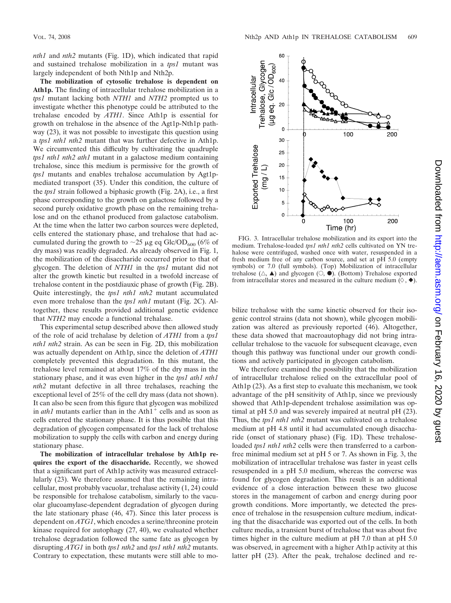*nth1* and *nth2* mutants (Fig. 1D), which indicated that rapid and sustained trehalose mobilization in a *tps1* mutant was largely independent of both Nth1p and Nth2p.

**The mobilization of cytosolic trehalose is dependent on Ath1p.** The finding of intracellular trehalose mobilization in a *tps1* mutant lacking both *NTH1* and *NTH2* prompted us to investigate whether this phenotype could be attributed to the trehalase encoded by *ATH1*. Since Ath1p is essential for growth on trehalose in the absence of the Agt1p-Nth1p pathway (23), it was not possible to investigate this question using a *tps1 nth1 nth2* mutant that was further defective in Ath1p. We circumvented this difficulty by cultivating the quadruple *tps1 nth1 nth2 ath1* mutant in a galactose medium containing trehalose, since this medium is permissive for the growth of *tps1* mutants and enables trehalose accumulation by Agt1pmediated transport (35). Under this condition, the culture of the *tps1* strain followed a biphasic growth (Fig. 2A), i.e., a first phase corresponding to the growth on galactose followed by a second purely oxidative growth phase on the remaining trehalose and on the ethanol produced from galactose catabolism. At the time when the latter two carbon sources were depleted, cells entered the stationary phase, and trehalose that had accumulated during the growth to  $\sim$ 25 µg eq Glc/OD<sub>600</sub> (6% of dry mass) was readily degraded. As already observed in Fig. 1, the mobilization of the disaccharide occurred prior to that of glycogen. The deletion of *NTH1* in the *tps1* mutant did not alter the growth kinetic but resulted in a twofold increase of trehalose content in the postdiauxic phase of growth (Fig. 2B). Quite interestingly, the *tps1 nth1 nth2* mutant accumulated even more trehalose than the *tps1 nth1* mutant (Fig. 2C). Altogether, these results provided additional genetic evidence that *NTH2* may encode a functional trehalase.

This experimental setup described above then allowed study of the role of acid trehalase by deletion of *ATH1* from a *tps1 nth1 nth2* strain. As can be seen in Fig. 2D, this mobilization was actually dependent on Ath1p, since the deletion of *ATH1* completely prevented this degradation. In this mutant, the trehalose level remained at about 17% of the dry mass in the stationary phase, and it was even higher in the *tps1 ath1 nth1 nth2* mutant defective in all three trehalases, reaching the exceptional level of 25% of the cell dry mass (data not shown). It can also be seen from this figure that glycogen was mobilized in  $\alpha$ th1 mutants earlier than in the Ath<sup>1+</sup> cells and as soon as cells entered the stationary phase. It is thus possible that this degradation of glycogen compensated for the lack of trehalose mobilization to supply the cells with carbon and energy during stationary phase.

**The mobilization of intracellular trehalose by Ath1p requires the export of the disaccharide.** Recently, we showed that a significant part of Ath1p activity was measured extracellularly (23). We therefore assumed that the remaining intracellular, most probably vacuolar, trehalase activity (1, 24) could be responsible for trehalose catabolism, similarly to the vacuolar glucoamylase-dependent degradation of glycogen during the late stationary phase (46, 47). Since this later process is dependent on *ATG1*, which encodes a serine/threonine protein kinase required for autophagy (27, 40), we evaluated whether trehalose degradation followed the same fate as glycogen by disrupting *ATG1* in both *tps1 nth2* and *tps1 nth1 nth2* mutants. Contrary to expectation, these mutants were still able to mo-



FIG. 3. Intracellular trehalose mobilization and its export into the medium. Trehalose-loaded *tps1 nth1 nth2* cells cultivated on YN trehalose were centrifuged, washed once with water, resuspended in a fresh medium free of any carbon source, and set at pH 5.0 (empty symbols) or 7.0 (full symbols). (Top) Mobilization of intracellular trehalose  $(\triangle, \blacktriangle)$  and glycogen  $(\bigcirc, \blacklozenge)$ . (Bottom) Trehalose exported from intracellular stores and measured in the culture medium ( $\Diamond$ ,  $\blacklozenge$ ).

bilize trehalose with the same kinetic observed for their isogenic control strains (data not shown), while glycogen mobilization was altered as previously reported (46). Altogether, these data showed that macroautophagy did not bring intracellular trehalose to the vacuole for subsequent cleavage, even though this pathway was functional under our growth conditions and actively participated in glycogen catabolism.

We therefore examined the possibility that the mobilization of intracellular trehalose relied on the extracellular pool of Ath1p (23). As a first step to evaluate this mechanism, we took advantage of the pH sensitivity of Ath1p, since we previously showed that Ath1p-dependent trehalose assimilation was optimal at pH 5.0 and was severely impaired at neutral pH (23). Thus, the *tps1 nth1 nth2* mutant was cultivated on a trehalose medium at pH 4.8 until it had accumulated enough disaccharide (onset of stationary phase) (Fig. 1D). These trehaloseloaded *tps1 nth1 nth2* cells were then transferred to a carbonfree minimal medium set at pH 5 or 7. As shown in Fig. 3, the mobilization of intracellular trehalose was faster in yeast cells resuspended in a pH 5.0 medium, whereas the converse was found for glycogen degradation. This result is an additional evidence of a close interaction between these two glucose stores in the management of carbon and energy during poor growth conditions. More importantly, we detected the presence of trehalose in the resuspension culture medium, indicating that the disaccharide was exported out of the cells. In both culture media, a transient burst of trehalose that was about five times higher in the culture medium at pH 7.0 than at pH 5.0 was observed, in agreement with a higher Ath1p activity at this latter pH (23). After the peak, trehalose declined and re-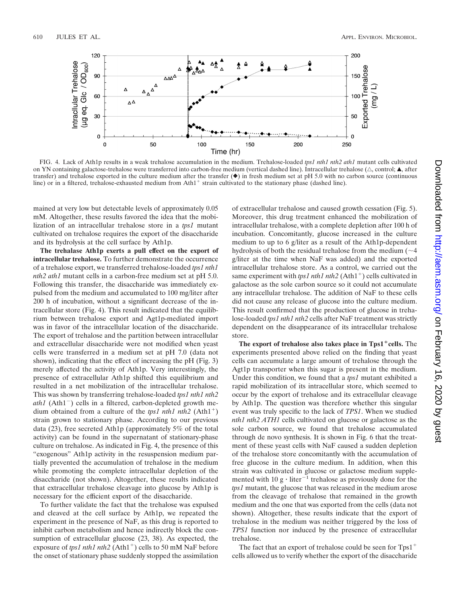

FIG. 4. Lack of Ath1p results in a weak trehalose accumulation in the medium. Trehalose-loaded *tps1 nth1 nth2 ath1* mutant cells cultivated on YN containing galactose-trehalose were transferred into carbon-free medium (vertical dashed line). Intracellular trehalose ( $\triangle$ , control;  $\blacktriangle$ , after transfer) and trehalose exported in the culture medium after the transfer  $(\bullet)$  in fresh medium set at pH 5.0 with no carbon source (continuous line) or in a filtered, trehalose-exhausted medium from  $Ath1<sup>+</sup>$  strain cultivated to the stationary phase (dashed line).

mained at very low but detectable levels of approximately 0.05 mM. Altogether, these results favored the idea that the mobilization of an intracellular trehalose store in a *tps1* mutant cultivated on trehalose requires the export of the disaccharide and its hydrolysis at the cell surface by Ath1p.

**The trehalase Ath1p exerts a pull effect on the export of intracellular trehalose.** To further demonstrate the occurrence of a trehalose export, we transferred trehalose-loaded *tps1 nth1 nth2 ath1* mutant cells in a carbon-free medium set at pH 5.0. Following this transfer, the disaccharide was immediately expulsed from the medium and accumulated to 100 mg/liter after 200 h of incubation, without a significant decrease of the intracellular store (Fig. 4). This result indicated that the equilibrium between trehalose export and Agt1p-mediated import was in favor of the intracellular location of the disaccharide. The export of trehalose and the partition between intracellular and extracellular disaccharide were not modified when yeast cells were transferred in a medium set at pH 7.0 (data not shown), indicating that the effect of increasing the pH (Fig. 3) merely affected the activity of Ath1p. Very interestingly, the presence of extracellular Ath1p shifted this equilibrium and resulted in a net mobilization of the intracellular trehalose. This was shown by transferring trehalose-loaded *tps1 nth1 nth2 ath1* (Ath1<sup>-</sup>) cells in a filtered, carbon-depleted growth medium obtained from a culture of the *tps1 nth1 nth2* (Ath1<sup>+</sup>) strain grown to stationary phase. According to our previous data (23), free secreted Ath1p (approximately 5% of the total activity) can be found in the supernatant of stationary-phase culture on trehalose. As indicated in Fig. 4, the presence of this "exogenous" Ath1p activity in the resuspension medium partially prevented the accumulation of trehalose in the medium while promoting the complete intracellular depletion of the disaccharide (not shown). Altogether, these results indicated that extracellular trehalose cleavage into glucose by Ath1p is necessary for the efficient export of the disaccharide.

To further validate the fact that the trehalose was expulsed and cleaved at the cell surface by Ath1p, we repeated the experiment in the presence of NaF, as this drug is reported to inhibit carbon metabolism and hence indirectly block the consumption of extracellular glucose (23, 38). As expected, the exposure of *tps1 nth1 nth2* (Ath1<sup>+</sup>) cells to 50 mM NaF before the onset of stationary phase suddenly stopped the assimilation

of extracellular trehalose and caused growth cessation (Fig. 5). Moreover, this drug treatment enhanced the mobilization of intracellular trehalose, with a complete depletion after 100 h of incubation. Concomitantly, glucose increased in the culture medium to up to 6 g/liter as a result of the Ath1p-dependent hydrolysis of both the residual trehalose from the medium  $(\sim 4)$ g/liter at the time when NaF was added) and the exported intracellular trehalose store. As a control, we carried out the same experiment with *tps1 nth1 nth2* (Ath1<sup>+</sup>) cells cultivated in galactose as the sole carbon source so it could not accumulate any intracellular trehalose. The addition of NaF to these cells did not cause any release of glucose into the culture medium. This result confirmed that the production of glucose in trehalose-loaded *tps1 nth1 nth2* cells after NaF treatment was strictly dependent on the disappearance of its intracellular trehalose store.

**The export of trehalose also takes place in Tps1cells.** The experiments presented above relied on the finding that yeast cells can accumulate a large amount of trehalose through the Agt1p transporter when this sugar is present in the medium. Under this condition, we found that a *tps1* mutant exhibited a rapid mobilization of its intracellular store, which seemed to occur by the export of trehalose and its extracellular cleavage by Ath1p. The question was therefore whether this singular event was truly specific to the lack of *TPS1*. When we studied *nth1 nth2 ATH1* cells cultivated on glucose or galactose as the sole carbon source, we found that trehalose accumulated through de novo synthesis. It is shown in Fig. 6 that the treatment of these yeast cells with NaF caused a sudden depletion of the trehalose store concomitantly with the accumulation of free glucose in the culture medium. In addition, when this strain was cultivated in glucose or galactose medium supplemented with 10  $g \cdot$  liter<sup>-1</sup> trehalose as previously done for the *tps1* mutant, the glucose that was released in the medium arose from the cleavage of trehalose that remained in the growth medium and the one that was exported from the cells (data not shown). Altogether, these results indicate that the export of trehalose in the medium was neither triggered by the loss of *TPS1* function nor induced by the presence of extracellular trehalose.

The fact that an export of trehalose could be seen for  $Tps1$ <sup>+</sup> cells allowed us to verify whether the export of the disaccharide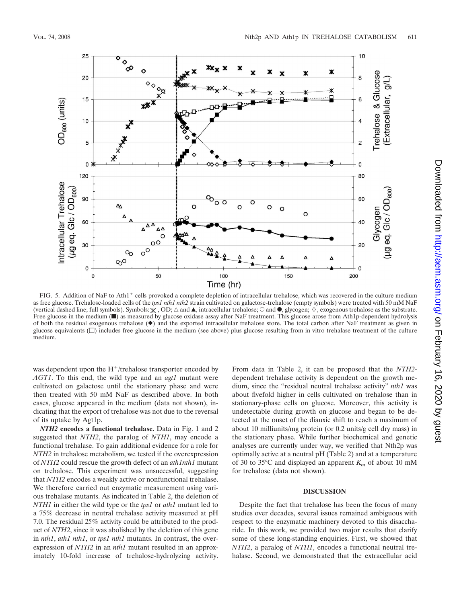

FIG. 5. Addition of NaF to Ath1<sup>+</sup> cells provoked a complete depletion of intracellular trehalose, which was recovered in the culture medium as free glucose. Trehalose-loaded cells of the *tps1 nth1 nth2* strain cultivated on galactose-trehalose (empty symbols) were treated with 50 mM NaF (vertical dashed line; full symbols). Symbols:  $\chi$ , OD;  $\Delta$  and  $\blacktriangle$ , intracellular trehalose;  $\odot$  and  $\blacktriangle$ , glycogen;  $\Diamond$ , exogenous trehalose as the substrate. Free glucose in the medium ( $\blacksquare$ ) as measured by glucose oxidase assay after NaF treatment. This glucose arose from Ath1p-dependent hydrolysis of both the residual exogenous trehalose  $(\blacklozenge)$  and the exported intracellular trehalose store. The total carbon after NaF treatment as given in glucose equivalents  $(\Box)$  includes free glucose in the medium (see above) plus glucose resulting from in vitro trehalase treatment of the culture medium.

was dependent upon the  $H^+$ /trehalose transporter encoded by *AGT1*. To this end, the wild type and an *agt1* mutant were cultivated on galactose until the stationary phase and were then treated with 50 mM NaF as described above. In both cases, glucose appeared in the medium (data not shown), indicating that the export of trehalose was not due to the reversal of its uptake by Agt1p.

*NTH2* **encodes a functional trehalase.** Data in Fig. 1 and 2 suggested that *NTH2*, the paralog of *NTH1*, may encode a functional trehalase. To gain additional evidence for a role for *NTH2* in trehalose metabolism, we tested if the overexpression of *NTH2* could rescue the growth defect of an *ath1nth1* mutant on trehalose. This experiment was unsuccessful, suggesting that *NTH2* encodes a weakly active or nonfunctional trehalase. We therefore carried out enzymatic measurement using various trehalase mutants. As indicated in Table 2, the deletion of *NTH1* in either the wild type or the *tps1* or *ath1* mutant led to a 75% decrease in neutral trehalase activity measured at pH 7.0. The residual 25% activity could be attributed to the product of *NTH2*, since it was abolished by the deletion of this gene in *nth1*, *ath1 nth1*, or *tps1 nth1* mutants. In contrast, the overexpression of *NTH2* in an *nth1* mutant resulted in an approximately 10-fold increase of trehalose-hydrolyzing activity.

From data in Table 2, it can be proposed that the *NTH2* dependent trehalase activity is dependent on the growth medium, since the "residual neutral trehalase activity" *nth1* was about fivefold higher in cells cultivated on trehalose than in stationary-phase cells on glucose. Moreover, this activity is undetectable during growth on glucose and began to be detected at the onset of the diauxic shift to reach a maximum of about 10 milliunits/mg protein (or 0.2 units/g cell dry mass) in the stationary phase. While further biochemical and genetic analyses are currently under way, we verified that Nth2p was optimally active at a neutral pH (Table 2) and at a temperature of 30 to 35°C and displayed an apparent *Km* of about 10 mM for trehalose (data not shown).

## **DISCUSSION**

Despite the fact that trehalose has been the focus of many studies over decades, several issues remained ambiguous with respect to the enzymatic machinery devoted to this disaccharide. In this work, we provided two major results that clarify some of these long-standing enquiries. First, we showed that *NTH2*, a paralog of *NTH1*, encodes a functional neutral trehalase. Second, we demonstrated that the extracellular acid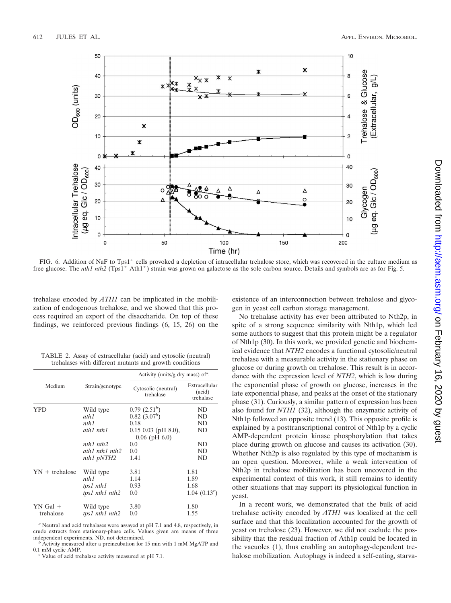

FIG. 6. Addition of NaF to Tps1<sup>+</sup> cells provoked a depletion of intracellular trehalose store, which was recovered in the culture medium as free glucose. The *nth1 nth2* (Tps1<sup>+</sup> Ath1<sup>+</sup>) strain was grown on galactose as the sole carbon source. Details and symbols are as for Fig. 5.

trehalase encoded by *ATH1* can be implicated in the mobilization of endogenous trehalose, and we showed that this process required an export of the disaccharide. On top of these findings, we reinforced previous findings (6, 15, 26) on the

TABLE 2. Assay of extracellular (acid) and cytosolic (neutral) trehalases with different mutants and growth conditions

|                  |                 | Activity (units/g dry mass) of $\alpha$ :   |                                      |  |  |
|------------------|-----------------|---------------------------------------------|--------------------------------------|--|--|
| Medium           | Strain/genotype | Cytosolic (neutral)<br>trehalase            | Extracellular<br>(acid)<br>trehalase |  |  |
| YPD              | Wild type       | 0.79~(2.51 <sup>b</sup> )                   | ND                                   |  |  |
|                  | ath1            | 0.82~(3.07 <sup>b</sup> )                   | ND                                   |  |  |
|                  | nth1            | 0.18                                        | ND                                   |  |  |
|                  | ath1 nth1       | $0.15$ 0.03 (pH 8.0),<br>$0.06$ (pH $6.0$ ) | ND                                   |  |  |
|                  | nth1 nth2       | 0.0                                         | ND                                   |  |  |
|                  | ath1 nth1 nth2  | 0.0                                         | ND                                   |  |  |
|                  | nth1 pNTH2      | 1.41                                        | ND                                   |  |  |
| $YN +$ trehalose | Wild type       | 3.81                                        | 1.81                                 |  |  |
|                  | nth1            | 1.14                                        | 1.89                                 |  |  |
|                  | tps1 nth1       | 0.93                                        | 1.68                                 |  |  |
|                  | tps1 nth1 nth2  | 0.0                                         | 1.04 $(0.13^c)$                      |  |  |
| $YN$ Gal +       | Wild type       | 3.80                                        | 1.80                                 |  |  |
| trehalose        | tps1 nth1 nth2  | 0.0                                         | 1.55                                 |  |  |

*<sup>a</sup>* Neutral and acid trehalases were assayed at pH 7.1 and 4.8, respectively, in crude extracts from stationary-phase cells. Values given are means of three independent experiments. ND, not determined.

Value of acid trehalase activity measured at pH 7.1.

existence of an interconnection between trehalose and glycogen in yeast cell carbon storage management.

No trehalase activity has ever been attributed to Nth2p, in spite of a strong sequence similarity with Nth1p, which led some authors to suggest that this protein might be a regulator of Nth1p (30). In this work, we provided genetic and biochemical evidence that *NTH2* encodes a functional cytosolic/neutral trehalase with a measurable activity in the stationary phase on glucose or during growth on trehalose. This result is in accordance with the expression level of *NTH2*, which is low during the exponential phase of growth on glucose, increases in the late exponential phase, and peaks at the onset of the stationary phase (31). Curiously, a similar pattern of expression has been also found for *NTH1* (32), although the enzymatic activity of Nth1p followed an opposite trend (13). This opposite profile is explained by a posttranscriptional control of Nth1p by a cyclic AMP-dependent protein kinase phosphorylation that takes place during growth on glucose and causes its activation (30). Whether Nth2p is also regulated by this type of mechanism is an open question. Moreover, while a weak intervention of Nth2p in trehalose mobilization has been uncovered in the experimental context of this work, it still remains to identify other situations that may support its physiological function in yeast.

In a recent work, we demonstrated that the bulk of acid trehalase activity encoded by *ATH1* was localized at the cell surface and that this localization accounted for the growth of yeast on trehalose (23). However, we did not exclude the possibility that the residual fraction of Ath1p could be located in the vacuoles (1), thus enabling an autophagy-dependent trehalose mobilization. Autophagy is indeed a self-eating, starva-

 $b$  Activity measured after a preincubation for 15 min with 1 mM MgATP and 0.1 mM cyclic AMP.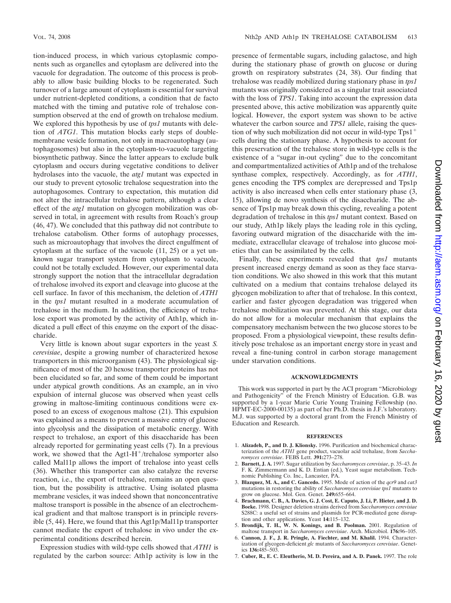tion-induced process, in which various cytoplasmic components such as organelles and cytoplasm are delivered into the vacuole for degradation. The outcome of this process is probably to allow basic building blocks to be regenerated. Such turnover of a large amount of cytoplasm is essential for survival under nutrient-depleted conditions, a condition that de facto matched with the timing and putative role of trehalose consumption observed at the end of growth on trehalose medium. We explored this hypothesis by use of *tps1* mutants with deletion of *ATG1*. This mutation blocks early steps of doublemembrane vesicle formation, not only in macroautophagy (autophagosomes) but also in the cytoplasm-to-vacuole targeting biosynthetic pathway. Since the latter appears to exclude bulk cytoplasm and occurs during vegetative conditions to deliver hydrolases into the vacuole, the *atg1* mutant was expected in our study to prevent cytosolic trehalose sequestration into the autophagosomes. Contrary to expectation, this mutation did not alter the intracellular trehalose pattern, although a clear effect of the *atg1* mutation on glycogen mobilization was observed in total, in agreement with results from Roach's group (46, 47). We concluded that this pathway did not contribute to trehalose catabolism. Other forms of autophagy processes, such as microautophagy that involves the direct engulfment of cytoplasm at the surface of the vacuole (11, 25) or a yet unknown sugar transport system from cytoplasm to vacuole, could not be totally excluded. However, our experimental data strongly support the notion that the intracellular degradation of trehalose involved its export and cleavage into glucose at the cell surface. In favor of this mechanism, the deletion of *ATH1* in the *tps1* mutant resulted in a moderate accumulation of trehalose in the medium. In addition, the efficiency of trehalose export was promoted by the activity of Ath1p, which indicated a pull effect of this enzyme on the export of the disaccharide.

Very little is known about sugar exporters in the yeast *S. cerevisiae*, despite a growing number of characterized hexose transporters in this microorganism (43). The physiological significance of most of the 20 hexose transporter proteins has not been elucidated so far, and some of them could be important under atypical growth conditions. As an example, an in vivo expulsion of internal glucose was observed when yeast cells growing in maltose-limiting continuous conditions were exposed to an excess of exogenous maltose (21). This expulsion was explained as a means to prevent a massive entry of glucose into glycolysis and the dissipation of metabolic energy. With respect to trehalose, an export of this disaccharide has been already reported for germinating yeast cells (7). In a previous work, we showed that the Agt1- $H^+$ /trehalose symporter also called Mal11p allows the import of trehalose into yeast cells (36). Whether this transporter can also catalyze the reverse reaction, i.e., the export of trehalose, remains an open question, but the possibility is attractive. Using isolated plasma membrane vesicles, it was indeed shown that nonconcentrative maltose transport is possible in the absence of an electrochemical gradient and that maltose transport is in principle reversible (5, 44). Here, we found that this Agt1p/Mal11p transporter cannot mediate the export of trehalose in vivo under the experimental conditions described herein.

Expression studies with wild-type cells showed that *ATH1* is regulated by the carbon source: Ath1p activity is low in the

presence of fermentable sugars, including galactose, and high during the stationary phase of growth on glucose or during growth on respiratory substrates (24, 38). Our finding that trehalose was readily mobilized during stationary phase in *tps1* mutants was originally considered as a singular trait associated with the loss of *TPS1*. Taking into account the expression data presented above, this active mobilization was apparently quite logical. However, the export system was shown to be active whatever the carbon source and *TPS1* allele, raising the question of why such mobilization did not occur in wild-type Tps1 cells during the stationary phase. A hypothesis to account for this preservation of the trehalose store in wild-type cells is the existence of a "sugar in-out cycling" due to the concomitant and compartmentalized activities of Ath1p and of the trehalose synthase complex, respectively. Accordingly, as for *ATH1*, genes encoding the TPS complex are derepressed and Tps1p activity is also increased when cells enter stationary phase (3, 15), allowing de novo synthesis of the disaccharide. The absence of Tps1p may break down this cycling, revealing a potent degradation of trehalose in this *tps1* mutant context. Based on our study, Ath1p likely plays the leading role in this cycling, favoring outward migration of the disaccharide with the immediate, extracellular cleavage of trehalose into glucose moieties that can be assimilated by the cells.

Finally, these experiments revealed that *tps1* mutants present increased energy demand as soon as they face starvation conditions. We also showed in this work that this mutant cultivated on a medium that contains trehalose delayed its glycogen mobilization to after that of trehalose. In this context, earlier and faster glycogen degradation was triggered when trehalose mobilization was prevented. At this stage, our data do not allow for a molecular mechanism that explains the compensatory mechanism between the two glucose stores to be proposed. From a physiological viewpoint, these results definitively pose trehalose as an important energy store in yeast and reveal a fine-tuning control in carbon storage management under starvation conditions.

## **ACKNOWLEDGMENTS**

This work was supported in part by the ACI program "Microbiology and Pathogenicity" of the French Ministry of Education. G.B. was supported by a 1-year Marie Curie Young Training Fellowship (no. HPMT-EC-2000-00135) as part of her Ph.D. thesis in J.F.'s laboratory. M.J. was supported by a doctoral grant from the French Ministry of Education and Research.

#### **REFERENCES**

- 1. **Alizadeh, P., and D. J. Klionsky.** 1996. Purification and biochemical characterization of the *ATH1* gene product, vacuolar acid trehalase, from *Saccharomyces cerevisiae*. FEBS Lett. **391:**273–278.
- 2. **Barnett, J. A.** 1997. Sugar utilization by *Saccharomyces cerevisiae*, p. 35–43. *In* F. K. Zimmermann and K. D. Entian (ed.), Yeast sugar metabolism. Technomic Publishing Co. Inc., Lancaster, PA.
- 3. **Blazquez, M. A., and C. Gancedo.** 1995. Mode of action of the *qcr9* and *cat3* mutations in restoring the ability of *Saccharomyces cerevisiae tps1* mutants to grow on glucose. Mol. Gen. Genet. **249:**655–664.
- 4. **Brachmann, C. B., A. Davies, G. J. Cost, E. Caputo, J. Li, P. Hieter, and J. D. Boeke.** 1998. Designer deletion strains derived from *Saccharomyces cerevisiae* S288C: a useful set of strains and plasmids for PCR-mediated gene disruption and other applications. Yeast **14:**115–132.
- 5. **Brondijk, T. H., W. N. Konings, and B. Poolman.** 2001. Regulation of maltose transport in *Saccharomyces cerevisiae*. Arch. Microbiol. **176:**96–105.
- 6. **Cannon, J. F., J. R. Pringle, A. Fiechter, and M. Khalil.** 1994. Characterization of glycogen-deficient *glc* mutants of *Saccharomyces cerevisiae*. Genet-ics **136:**485–503.
- 7. **Cuber, R., E. C. Eleutherio, M. D. Pereira, and A. D. Panek.** 1997. The role